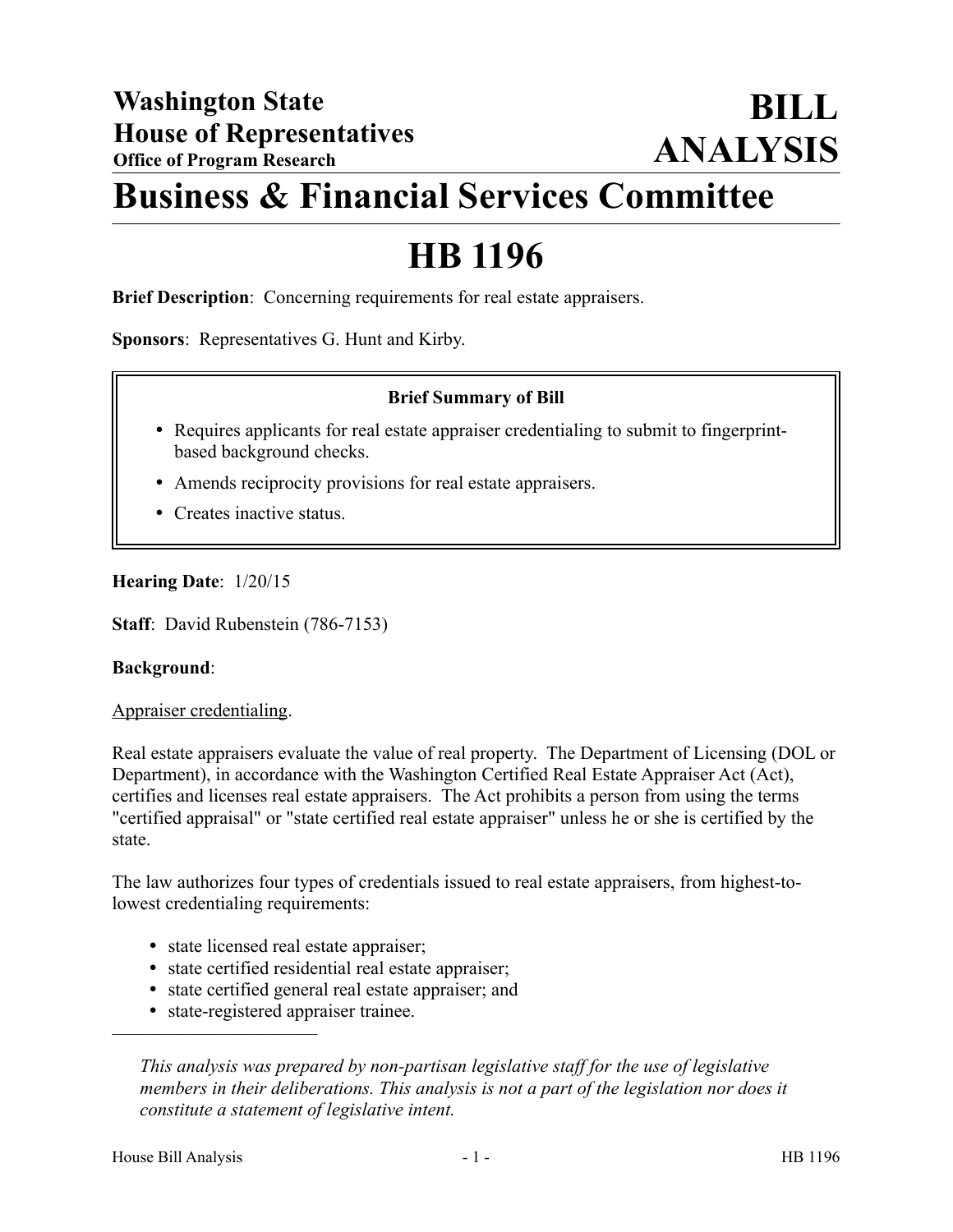# **Business & Financial Services Committee**

## **HB 1196**

**Brief Description**: Concerning requirements for real estate appraisers.

**Sponsors**: Representatives G. Hunt and Kirby.

## **Brief Summary of Bill**

- Requires applicants for real estate appraiser credentialing to submit to fingerprintbased background checks.
- Amends reciprocity provisions for real estate appraisers.
- Creates inactive status.

## **Hearing Date**: 1/20/15

**Staff**: David Rubenstein (786-7153)

#### **Background**:

Appraiser credentialing.

Real estate appraisers evaluate the value of real property. The Department of Licensing (DOL or Department), in accordance with the Washington Certified Real Estate Appraiser Act (Act), certifies and licenses real estate appraisers. The Act prohibits a person from using the terms "certified appraisal" or "state certified real estate appraiser" unless he or she is certified by the state.

The law authorizes four types of credentials issued to real estate appraisers, from highest-tolowest credentialing requirements:

- state licensed real estate appraiser;
- state certified residential real estate appraiser;
- state certified general real estate appraiser; and
- state-registered appraiser trainee.

*This analysis was prepared by non-partisan legislative staff for the use of legislative members in their deliberations. This analysis is not a part of the legislation nor does it constitute a statement of legislative intent.*

––––––––––––––––––––––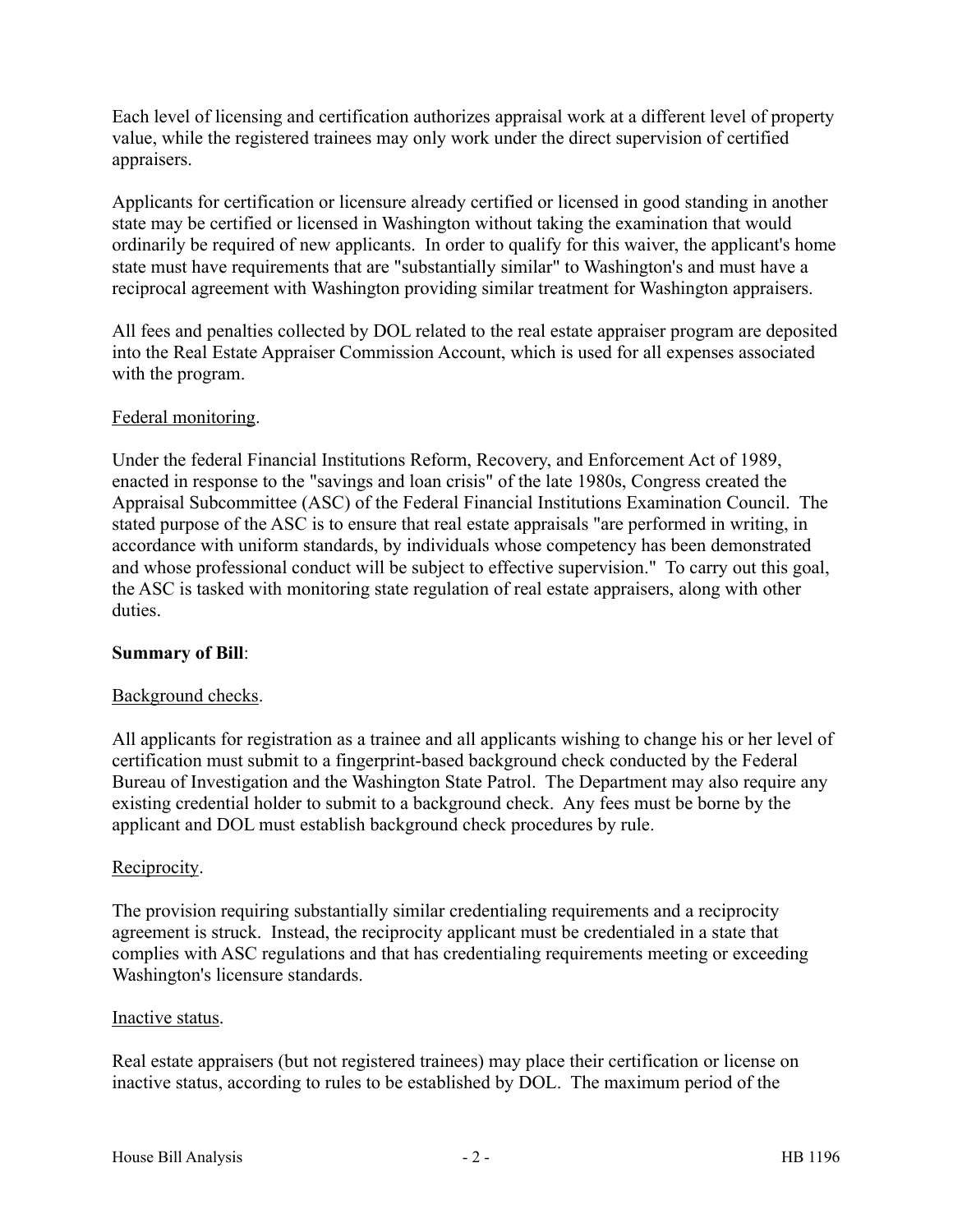Each level of licensing and certification authorizes appraisal work at a different level of property value, while the registered trainees may only work under the direct supervision of certified appraisers.

Applicants for certification or licensure already certified or licensed in good standing in another state may be certified or licensed in Washington without taking the examination that would ordinarily be required of new applicants. In order to qualify for this waiver, the applicant's home state must have requirements that are "substantially similar" to Washington's and must have a reciprocal agreement with Washington providing similar treatment for Washington appraisers.

All fees and penalties collected by DOL related to the real estate appraiser program are deposited into the Real Estate Appraiser Commission Account, which is used for all expenses associated with the program.

## Federal monitoring.

Under the federal Financial Institutions Reform, Recovery, and Enforcement Act of 1989, enacted in response to the "savings and loan crisis" of the late 1980s, Congress created the Appraisal Subcommittee (ASC) of the Federal Financial Institutions Examination Council. The stated purpose of the ASC is to ensure that real estate appraisals "are performed in writing, in accordance with uniform standards, by individuals whose competency has been demonstrated and whose professional conduct will be subject to effective supervision." To carry out this goal, the ASC is tasked with monitoring state regulation of real estate appraisers, along with other duties.

#### **Summary of Bill**:

#### Background checks.

All applicants for registration as a trainee and all applicants wishing to change his or her level of certification must submit to a fingerprint-based background check conducted by the Federal Bureau of Investigation and the Washington State Patrol. The Department may also require any existing credential holder to submit to a background check. Any fees must be borne by the applicant and DOL must establish background check procedures by rule.

#### Reciprocity.

The provision requiring substantially similar credentialing requirements and a reciprocity agreement is struck. Instead, the reciprocity applicant must be credentialed in a state that complies with ASC regulations and that has credentialing requirements meeting or exceeding Washington's licensure standards.

#### Inactive status.

Real estate appraisers (but not registered trainees) may place their certification or license on inactive status, according to rules to be established by DOL. The maximum period of the